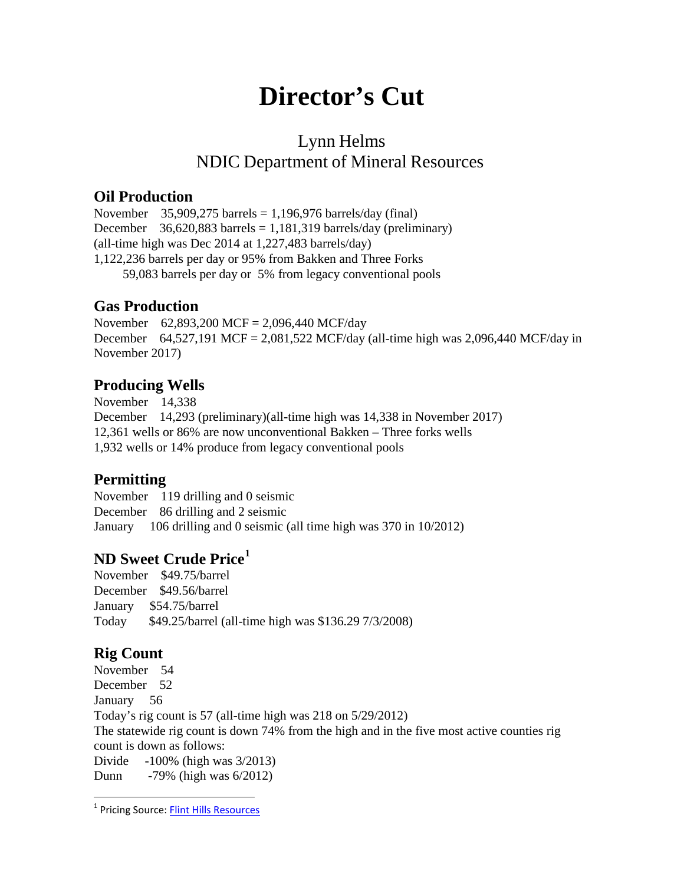# **Director's Cut**

# Lynn Helms NDIC Department of Mineral Resources

#### **Oil Production**

November  $35,909,275$  barrels = 1,196,976 barrels/day (final) December  $36,620,883$  barrels = 1,181,319 barrels/day (preliminary) (all-time high was Dec 2014 at 1,227,483 barrels/day) 1,122,236 barrels per day or 95% from Bakken and Three Forks 59,083 barrels per day or 5% from legacy conventional pools

#### **Gas Production**

November 62,893,200 MCF = 2,096,440 MCF/day December 64,527,191 MCF = 2,081,522 MCF/day (all-time high was 2,096,440 MCF/day in November 2017)

#### **Producing Wells**

November 14,338 December 14,293 (preliminary)(all-time high was 14,338 in November 2017) 12,361 wells or 86% are now unconventional Bakken – Three forks wells 1,932 wells or 14% produce from legacy conventional pools

#### **Permitting**

November 119 drilling and 0 seismic December 86 drilling and 2 seismic January 106 drilling and 0 seismic (all time high was 370 in 10/2012)

#### **ND Sweet Crude Price[1](#page-0-0)**

November \$49.75/barrel December \$49.56/barrel January \$54.75/barrel Today \$49.25/barrel (all-time high was \$136.29 7/3/2008)

## **Rig Count**

November 54 December 52 January 56 Today's rig count is 57 (all-time high was 218 on 5/29/2012) The statewide rig count is down 74% from the high and in the five most active counties rig count is down as follows: Divide -100% (high was 3/2013) Dunn -79% (high was 6/2012)

<span id="page-0-0"></span><sup>&</sup>lt;sup>1</sup> Pricing Source: [Flint Hills Resources](http://www.fhr.com/refining/bulletins.aspx?AspxAutoDetectCookieSupport=1)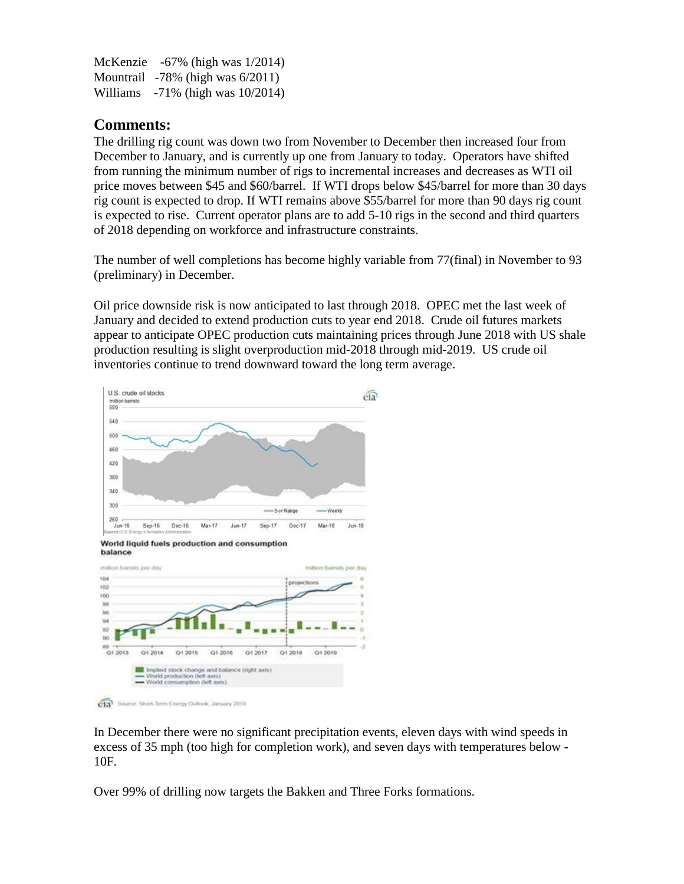McKenzie -67% (high was 1/2014) Mountrail -78% (high was 6/2011) Williams -71% (high was 10/2014)

### **Comments:**

The drilling rig count was down two from November to December then increased four from December to January, and is currently up one from January to today. Operators have shifted from running the minimum number of rigs to incremental increases and decreases as WTI oil price moves between \$45 and \$60/barrel. If WTI drops below \$45/barrel for more than 30 days rig count is expected to drop. If WTI remains above \$55/barrel for more than 90 days rig count is expected to rise. Current operator plans are to add 5-10 rigs in the second and third quarters of 2018 depending on workforce and infrastructure constraints.

The number of well completions has become highly variable from 77(final) in November to 93 (preliminary) in December.

Oil price downside risk is now anticipated to last through 2018. OPEC met the last week of January and decided to extend production cuts to year end 2018. Crude oil futures markets appear to anticipate OPEC production cuts maintaining prices through June 2018 with US shale production resulting is slight overproduction mid-2018 through mid-2019. US crude oil inventories continue to trend downward toward the long term average.



In December there were no significant precipitation events, eleven days with wind speeds in excess of 35 mph (too high for completion work), and seven days with temperatures below - 10F.

Over 99% of drilling now targets the Bakken and Three Forks formations.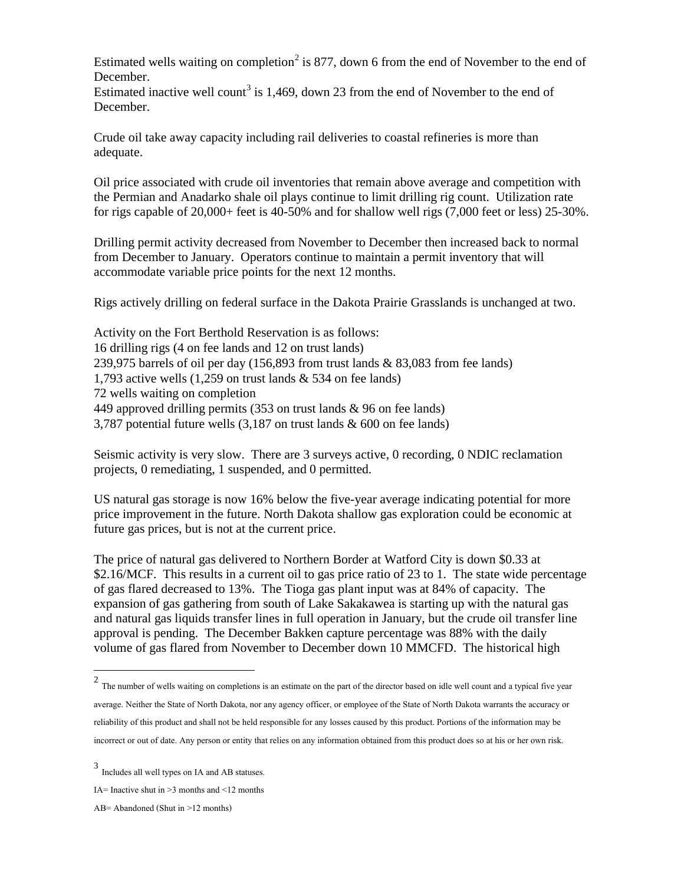Estimated wells waiting on completion<sup>[2](#page-2-0)</sup> is 877, down 6 from the end of November to the end of December.

Estimated inactive well count<sup>[3](#page-2-1)</sup> is 1,469, down 23 from the end of November to the end of December.

Crude oil take away capacity including rail deliveries to coastal refineries is more than adequate.

Oil price associated with crude oil inventories that remain above average and competition with the Permian and Anadarko shale oil plays continue to limit drilling rig count. Utilization rate for rigs capable of 20,000+ feet is 40-50% and for shallow well rigs (7,000 feet or less) 25-30%.

Drilling permit activity decreased from November to December then increased back to normal from December to January. Operators continue to maintain a permit inventory that will accommodate variable price points for the next 12 months.

Rigs actively drilling on federal surface in the Dakota Prairie Grasslands is unchanged at two.

Activity on the Fort Berthold Reservation is as follows: 16 drilling rigs (4 on fee lands and 12 on trust lands) 239,975 barrels of oil per day  $(156,893$  from trust lands & 83,083 from fee lands) 1,793 active wells (1,259 on trust lands & 534 on fee lands) 72 wells waiting on completion 449 approved drilling permits (353 on trust lands & 96 on fee lands) 3,787 potential future wells (3,187 on trust lands & 600 on fee lands)

Seismic activity is very slow. There are 3 surveys active, 0 recording, 0 NDIC reclamation projects, 0 remediating, 1 suspended, and 0 permitted.

US natural gas storage is now 16% below the five-year average indicating potential for more price improvement in the future. North Dakota shallow gas exploration could be economic at future gas prices, but is not at the current price.

The price of natural gas delivered to Northern Border at Watford City is down \$0.33 at \$2.16/MCF. This results in a current oil to gas price ratio of 23 to 1. The state wide percentage of gas flared decreased to 13%. The Tioga gas plant input was at 84% of capacity. The expansion of gas gathering from south of Lake Sakakawea is starting up with the natural gas and natural gas liquids transfer lines in full operation in January, but the crude oil transfer line approval is pending. The December Bakken capture percentage was 88% with the daily volume of gas flared from November to December down 10 MMCFD. The historical high

l

<span id="page-2-0"></span> $2$  The number of wells waiting on completions is an estimate on the part of the director based on idle well count and a typical five year average. Neither the State of North Dakota, nor any agency officer, or employee of the State of North Dakota warrants the accuracy or reliability of this product and shall not be held responsible for any losses caused by this product. Portions of the information may be incorrect or out of date. Any person or entity that relies on any information obtained from this product does so at his or her own risk.

<span id="page-2-1"></span><sup>3</sup> Includes all well types on IA and AB statuses.

IA= Inactive shut in >3 months and <12 months

AB= Abandoned (Shut in >12 months)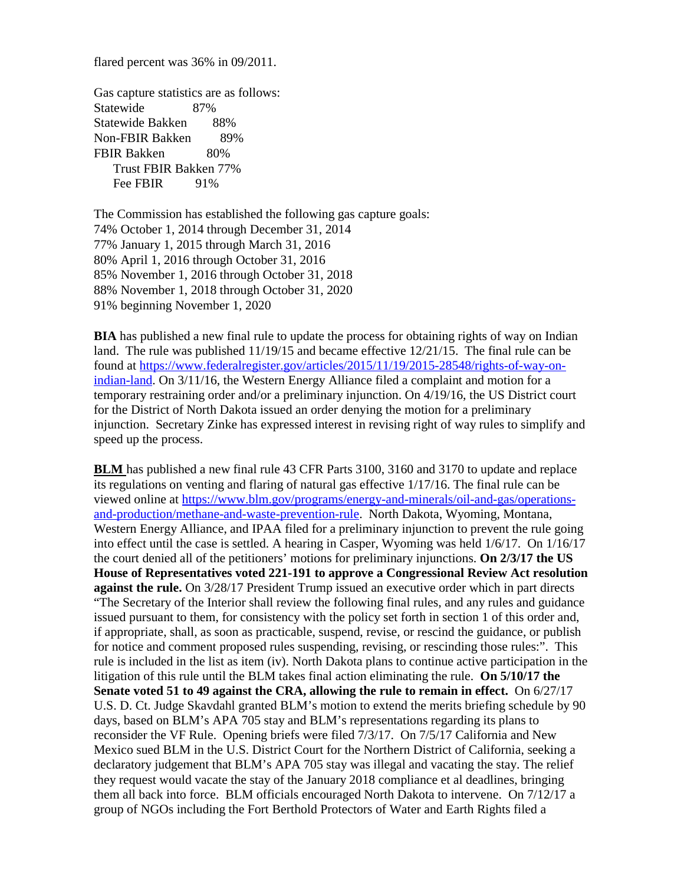flared percent was 36% in 09/2011.

Gas capture statistics are as follows: Statewide 87% Statewide Bakken 88% Non-FBIR Bakken 89% FBIR Bakken 80% Trust FBIR Bakken 77% Fee FBIR 91%

The Commission has established the following gas capture goals: 74% October 1, 2014 through December 31, 2014 77% January 1, 2015 through March 31, 2016 80% April 1, 2016 through October 31, 2016 85% November 1, 2016 through October 31, 2018 88% November 1, 2018 through October 31, 2020 91% beginning November 1, 2020

**BIA** has published a new final rule to update the process for obtaining rights of way on Indian land. The rule was published 11/19/15 and became effective 12/21/15. The final rule can be found at [https://www.federalregister.gov/articles/2015/11/19/2015-28548/rights-of-way-on](https://www.federalregister.gov/articles/2015/11/19/2015-28548/rights-of-way-on-indian-land)[indian-land.](https://www.federalregister.gov/articles/2015/11/19/2015-28548/rights-of-way-on-indian-land) On 3/11/16, the Western Energy Alliance filed a complaint and motion for a temporary restraining order and/or a preliminary injunction. On 4/19/16, the US District court for the District of North Dakota issued an order denying the motion for a preliminary injunction. Secretary Zinke has expressed interest in revising right of way rules to simplify and speed up the process.

**BLM** has published a new final rule 43 CFR Parts 3100, 3160 and 3170 to update and replace its regulations on venting and flaring of natural gas effective 1/17/16. The final rule can be viewed online at [https://www.blm.gov/programs/energy-and-minerals/oil-and-gas/operations](https://www.blm.gov/programs/energy-and-minerals/oil-and-gas/operations-and-production/methane-and-waste-prevention-rule)[and-production/methane-and-waste-prevention-rule.](https://www.blm.gov/programs/energy-and-minerals/oil-and-gas/operations-and-production/methane-and-waste-prevention-rule) North Dakota, Wyoming, Montana, Western Energy Alliance, and IPAA filed for a preliminary injunction to prevent the rule going into effect until the case is settled. A hearing in Casper, Wyoming was held 1/6/17. On 1/16/17 the court denied all of the petitioners' motions for preliminary injunctions. **On 2/3/17 the US House of Representatives voted 221-191 to approve a Congressional Review Act resolution against the rule.** On 3/28/17 President Trump issued an executive order which in part directs "The Secretary of the Interior shall review the following final rules, and any rules and guidance issued pursuant to them, for consistency with the policy set forth in section 1 of this order and, if appropriate, shall, as soon as practicable, suspend, revise, or rescind the guidance, or publish for notice and comment proposed rules suspending, revising, or rescinding those rules:". This rule is included in the list as item (iv). North Dakota plans to continue active participation in the litigation of this rule until the BLM takes final action eliminating the rule. **On 5/10/17 the Senate voted 51 to 49 against the CRA, allowing the rule to remain in effect.** On 6/27/17 U.S. D. Ct. Judge Skavdahl granted BLM's motion to extend the merits briefing schedule by 90 days, based on BLM's APA 705 stay and BLM's representations regarding its plans to reconsider the VF Rule. Opening briefs were filed 7/3/17. On 7/5/17 California and New Mexico sued BLM in the U.S. District Court for the Northern District of California, seeking a declaratory judgement that BLM's APA 705 stay was illegal and vacating the stay. The relief they request would vacate the stay of the January 2018 compliance et al deadlines, bringing them all back into force. BLM officials encouraged North Dakota to intervene. On 7/12/17 a group of NGOs including the Fort Berthold Protectors of Water and Earth Rights filed a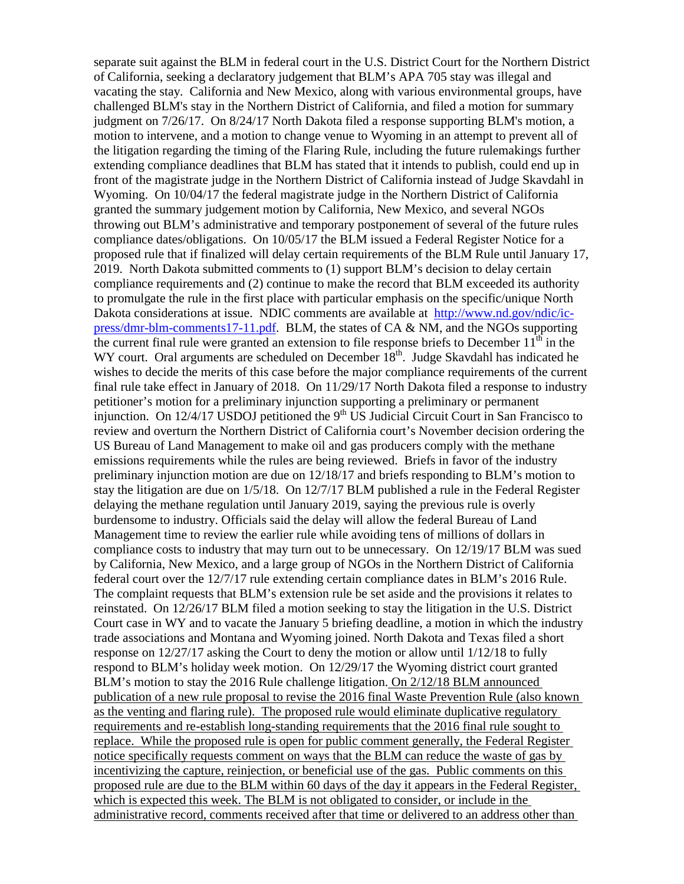separate suit against the BLM in federal court in the U.S. District Court for the Northern District of California, seeking a declaratory judgement that BLM's APA 705 stay was illegal and vacating the stay. California and New Mexico, along with various environmental groups, have challenged BLM's stay in the Northern District of California, and filed a motion for summary judgment on 7/26/17. On 8/24/17 North Dakota filed a response supporting BLM's motion, a motion to intervene, and a motion to change venue to Wyoming in an attempt to prevent all of the litigation regarding the timing of the Flaring Rule, including the future rulemakings further extending compliance deadlines that BLM has stated that it intends to publish, could end up in front of the magistrate judge in the Northern District of California instead of Judge Skavdahl in Wyoming. On 10/04/17 the federal magistrate judge in the Northern District of California granted the summary judgement motion by California, New Mexico, and several NGOs throwing out BLM's administrative and temporary postponement of several of the future rules compliance dates/obligations. On 10/05/17 the BLM issued a Federal Register Notice for a proposed rule that if finalized will delay certain requirements of the BLM Rule until January 17, 2019. North Dakota submitted comments to (1) support BLM's decision to delay certain compliance requirements and (2) continue to make the record that BLM exceeded its authority to promulgate the rule in the first place with particular emphasis on the specific/unique North Dakota considerations at issue. NDIC comments are available at [http://www.nd.gov/ndic/ic](http://www.nd.gov/ndic/ic-press/dmr-blm-comments17-11.pdf)[press/dmr-blm-comments17-11.pdf.](http://www.nd.gov/ndic/ic-press/dmr-blm-comments17-11.pdf) BLM, the states of CA & NM, and the NGOs supporting the current final rule were granted an extension to file response briefs to December  $11<sup>th</sup>$  in the WY court. Oral arguments are scheduled on December  $18<sup>th</sup>$ . Judge Skavdahl has indicated he wishes to decide the merits of this case before the major compliance requirements of the current final rule take effect in January of 2018. On 11/29/17 North Dakota filed a response to industry petitioner's motion for a preliminary injunction supporting a preliminary or permanent injunction. On  $12/4/17$  USDOJ petitioned the 9<sup>th</sup> US Judicial Circuit Court in San Francisco to review and overturn the Northern District of California court's November decision ordering the US Bureau of Land Management to make oil and gas producers comply with the methane emissions requirements while the rules are being reviewed. Briefs in favor of the industry preliminary injunction motion are due on 12/18/17 and briefs responding to BLM's motion to stay the litigation are due on 1/5/18. On 12/7/17 BLM published a rule in the Federal Register delaying the methane regulation until January 2019, saying the previous rule is overly burdensome to industry. Officials said the delay will allow the federal Bureau of Land Management time to review the earlier rule while avoiding tens of millions of dollars in compliance costs to industry that may turn out to be unnecessary. On 12/19/17 BLM was sued by California, New Mexico, and a large group of NGOs in the Northern District of California federal court over the 12/7/17 rule extending certain compliance dates in BLM's 2016 Rule. The complaint requests that BLM's extension rule be set aside and the provisions it relates to reinstated. On 12/26/17 BLM filed a motion seeking to stay the litigation in the U.S. District Court case in WY and to vacate the January 5 briefing deadline, a motion in which the industry trade associations and Montana and Wyoming joined. North Dakota and Texas filed a short response on 12/27/17 asking the Court to deny the motion or allow until 1/12/18 to fully respond to BLM's holiday week motion. On 12/29/17 the Wyoming district court granted BLM's motion to stay the 2016 Rule challenge litigation. On 2/12/18 BLM announced publication of a new rule proposal to revise the 2016 final Waste Prevention Rule (also known as the venting and flaring rule). The proposed rule would eliminate duplicative regulatory requirements and re-establish long-standing requirements that the 2016 final rule sought to replace. While the proposed rule is open for public comment generally, the Federal Register notice specifically requests comment on ways that the BLM can reduce the waste of gas by incentivizing the capture, reinjection, or beneficial use of the gas. Public comments on this proposed rule are due to the BLM within 60 days of the day it appears in the Federal Register, which is expected this week. The BLM is not obligated to consider, or include in the administrative record, comments received after that time or delivered to an address other than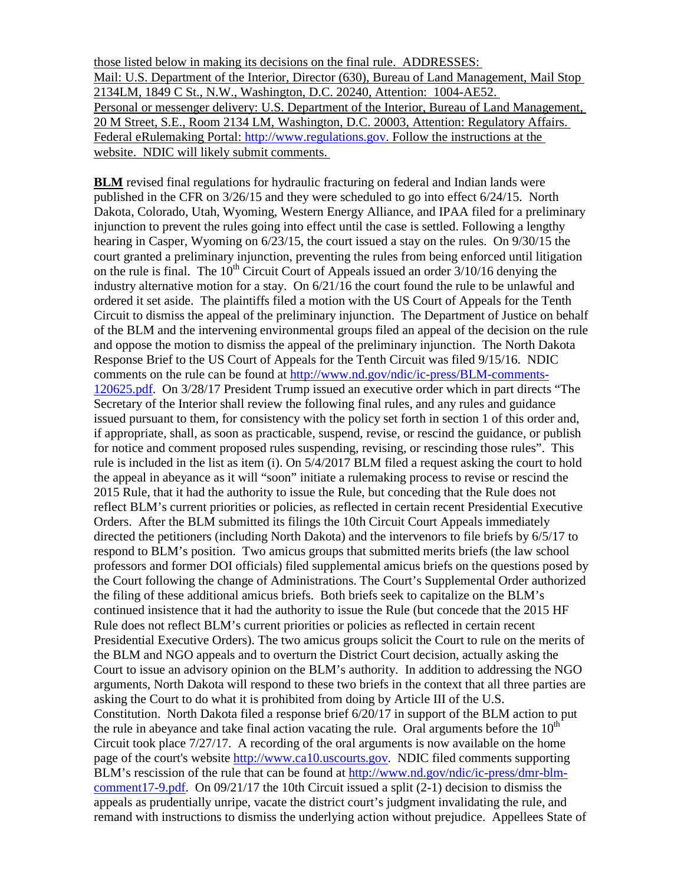those listed below in making its decisions on the final rule. ADDRESSES: Mail: U.S. Department of the Interior, Director (630), Bureau of Land Management, Mail Stop 2134LM, 1849 C St., N.W., Washington, D.C. 20240, Attention: 1004-AE52. Personal or messenger delivery: U.S. Department of the Interior, Bureau of Land Management, 20 M Street, S.E., Room 2134 LM, Washington, D.C. 20003, Attention: Regulatory Affairs. Federal eRulemaking Portal: [http://www.regulations.gov.](http://www.regulations.gov/) Follow the instructions at the website. NDIC will likely submit comments.

**BLM** revised final regulations for hydraulic fracturing on federal and Indian lands were published in the CFR on 3/26/15 and they were scheduled to go into effect 6/24/15. North Dakota, Colorado, Utah, Wyoming, Western Energy Alliance, and IPAA filed for a preliminary injunction to prevent the rules going into effect until the case is settled. Following a lengthy hearing in Casper, Wyoming on 6/23/15, the court issued a stay on the rules. On 9/30/15 the court granted a preliminary injunction, preventing the rules from being enforced until litigation on the rule is final. The  $10^{th}$  Circuit Court of Appeals issued an order  $3/10/16$  denying the industry alternative motion for a stay. On 6/21/16 the court found the rule to be unlawful and ordered it set aside. The plaintiffs filed a motion with the US Court of Appeals for the Tenth Circuit to dismiss the appeal of the preliminary injunction. The Department of Justice on behalf of the BLM and the intervening environmental groups filed an appeal of the decision on the rule and oppose the motion to dismiss the appeal of the preliminary injunction. The North Dakota Response Brief to the US Court of Appeals for the Tenth Circuit was filed 9/15/16. NDIC comments on the rule can be found at [http://www.nd.gov/ndic/ic-press/BLM-comments-](http://www.nd.gov/ndic/ic-press/BLM-comments-120625.pdf)[120625.pdf.](http://www.nd.gov/ndic/ic-press/BLM-comments-120625.pdf) On 3/28/17 President Trump issued an executive order which in part directs "The Secretary of the Interior shall review the following final rules, and any rules and guidance issued pursuant to them, for consistency with the policy set forth in section 1 of this order and, if appropriate, shall, as soon as practicable, suspend, revise, or rescind the guidance, or publish for notice and comment proposed rules suspending, revising, or rescinding those rules". This rule is included in the list as item (i). On 5/4/2017 BLM filed a request asking the court to hold the appeal in abeyance as it will "soon" initiate a rulemaking process to revise or rescind the 2015 Rule, that it had the authority to issue the Rule, but conceding that the Rule does not reflect BLM's current priorities or policies, as reflected in certain recent Presidential Executive Orders. After the BLM submitted its filings the 10th Circuit Court Appeals immediately directed the petitioners (including North Dakota) and the intervenors to file briefs by 6/5/17 to respond to BLM's position. Two amicus groups that submitted merits briefs (the law school professors and former DOI officials) filed supplemental amicus briefs on the questions posed by the Court following the change of Administrations. The Court's Supplemental Order authorized the filing of these additional amicus briefs. Both briefs seek to capitalize on the BLM's continued insistence that it had the authority to issue the Rule (but concede that the 2015 HF Rule does not reflect BLM's current priorities or policies as reflected in certain recent Presidential Executive Orders). The two amicus groups solicit the Court to rule on the merits of the BLM and NGO appeals and to overturn the District Court decision, actually asking the Court to issue an advisory opinion on the BLM's authority. In addition to addressing the NGO arguments, North Dakota will respond to these two briefs in the context that all three parties are asking the Court to do what it is prohibited from doing by Article III of the U.S. Constitution. North Dakota filed a response brief 6/20/17 in support of the BLM action to put the rule in abeyance and take final action vacating the rule. Oral arguments before the  $10<sup>th</sup>$ Circuit took place  $7/27/17$ . A recording of the oral arguments is now available on the home page of the court's website [http://www.ca10.uscourts.gov.](https://urldefense.proofpoint.com/v2/url?u=http-3A__www.ca10.uscourts.gov&d=DwMGaQ&c=2s2mvbfY0UoSKkl6_Ol9wg&r=-wqsZnBxny594KY8HeElow&m=Ul_VtJUX6iW5pvHjCcBxUWtskC0F4Dhry3sPtcEHvCw&s=laRHiLDv5w8otcQWQjpn82WMieoB2AZ-Q4M1LFQPL5s&e=) NDIC filed comments supporting BLM's rescission of the rule that can be found at [http://www.nd.gov/ndic/ic-press/dmr-blm](http://www.nd.gov/ndic/ic-press/dmr-blm-comment17-9.pdf)[comment17-9.pdf.](http://www.nd.gov/ndic/ic-press/dmr-blm-comment17-9.pdf) On 09/21/17 the 10th Circuit issued a split (2-1) decision to dismiss the appeals as prudentially unripe, vacate the district court's judgment invalidating the rule, and remand with instructions to dismiss the underlying action without prejudice. Appellees State of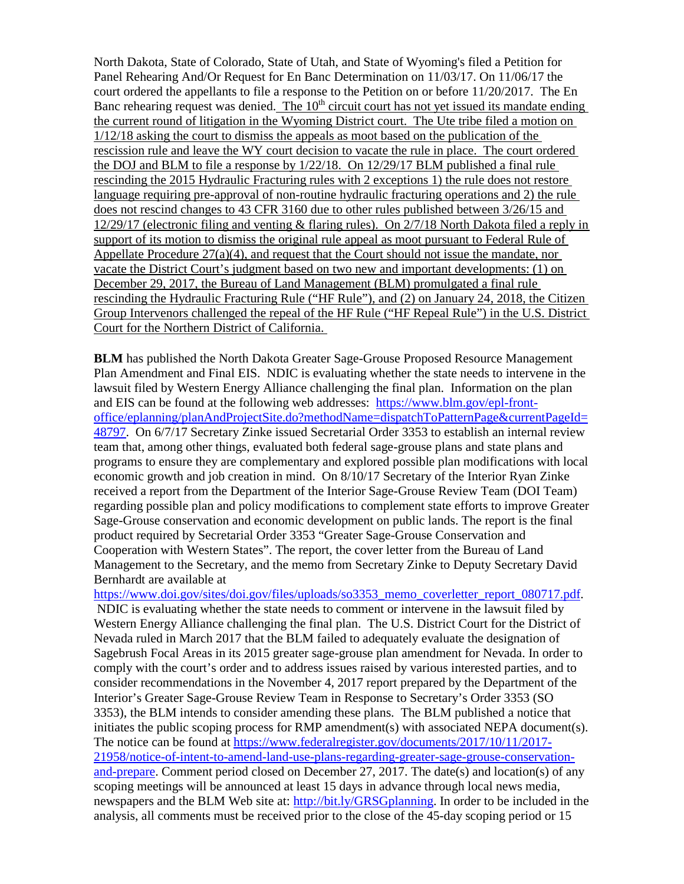North Dakota, State of Colorado, State of Utah, and State of Wyoming's filed a Petition for Panel Rehearing And/Or Request for En Banc Determination on 11/03/17. On 11/06/17 the court ordered the appellants to file a response to the Petition on or before 11/20/2017. The En Banc rehearing request was denied. The 10<sup>th</sup> circuit court has not yet issued its mandate ending the current round of litigation in the Wyoming District court. The Ute tribe filed a motion on 1/12/18 asking the court to dismiss the appeals as moot based on the publication of the rescission rule and leave the WY court decision to vacate the rule in place. The court ordered the DOJ and BLM to file a response by 1/22/18. On 12/29/17 BLM published a final rule rescinding the 2015 Hydraulic Fracturing rules with 2 exceptions 1) the rule does not restore language requiring pre-approval of non-routine hydraulic fracturing operations and 2) the rule does not rescind changes to 43 CFR 3160 due to other rules published between 3/26/15 and 12/29/17 (electronic filing and venting & flaring rules). On 2/7/18 North Dakota filed a reply in support of its motion to dismiss the original rule appeal as moot pursuant to Federal Rule of Appellate Procedure 27(a)(4), and request that the Court should not issue the mandate, nor vacate the District Court's judgment based on two new and important developments: (1) on December 29, 2017, the Bureau of Land Management (BLM) promulgated a final rule rescinding the Hydraulic Fracturing Rule ("HF Rule"), and (2) on January 24, 2018, the Citizen Group Intervenors challenged the repeal of the HF Rule ("HF Repeal Rule") in the U.S. District Court for the Northern District of California.

**BLM** has published the North Dakota Greater Sage-Grouse Proposed Resource Management Plan Amendment and Final EIS. NDIC is evaluating whether the state needs to intervene in the lawsuit filed by Western Energy Alliance challenging the final plan. Information on the plan and EIS can be found at the following web addresses: [https://www.blm.gov/epl-front](https://www.blm.gov/epl-front-office/eplanning/planAndProjectSite.do?methodName=dispatchToPatternPage¤tPageId=48797)[office/eplanning/planAndProjectSite.do?methodName=dispatchToPatternPage&currentPageId=](https://www.blm.gov/epl-front-office/eplanning/planAndProjectSite.do?methodName=dispatchToPatternPage¤tPageId=48797) [48797.](https://www.blm.gov/epl-front-office/eplanning/planAndProjectSite.do?methodName=dispatchToPatternPage¤tPageId=48797) On 6/7/17 Secretary Zinke issued Secretarial Order 3353 to establish an internal review team that, among other things, evaluated both federal sage-grouse plans and state plans and programs to ensure they are complementary and explored possible plan modifications with local economic growth and job creation in mind. On 8/10/17 Secretary of the Interior Ryan Zinke received a report from the Department of the Interior Sage-Grouse Review Team (DOI Team) regarding possible plan and policy modifications to complement state efforts to improve Greater Sage-Grouse conservation and economic development on public lands. The report is the final product required by Secretarial Order 3353 "Greater Sage-Grouse Conservation and Cooperation with Western States". The report, the cover letter from the Bureau of Land Management to the Secretary, and the memo from Secretary Zinke to Deputy Secretary David Bernhardt are available at

[https://www.doi.gov/sites/doi.gov/files/uploads/so3353\\_memo\\_coverletter\\_report\\_080717.pdf.](https://www.doi.gov/sites/doi.gov/files/uploads/so3353_memo_coverletter_report_080717.pdf)

NDIC is evaluating whether the state needs to comment or intervene in the lawsuit filed by Western Energy Alliance challenging the final plan. The U.S. District Court for the District of Nevada ruled in March 2017 that the BLM failed to adequately evaluate the designation of Sagebrush Focal Areas in its 2015 greater sage-grouse plan amendment for Nevada. In order to comply with the court's order and to address issues raised by various interested parties, and to consider recommendations in the November 4, 2017 report prepared by the Department of the Interior's Greater Sage-Grouse Review Team in Response to Secretary's Order 3353 (SO 3353), the BLM intends to consider amending these plans. The BLM published a notice that initiates the public scoping process for RMP amendment(s) with associated NEPA document(s). The notice can be found at [https://www.federalregister.gov/documents/2017/10/11/2017-](https://www.federalregister.gov/documents/2017/10/11/2017-21958/notice-of-intent-to-amend-land-use-plans-regarding-greater-sage-grouse-conservation-and-prepare) [21958/notice-of-intent-to-amend-land-use-plans-regarding-greater-sage-grouse-conservation](https://www.federalregister.gov/documents/2017/10/11/2017-21958/notice-of-intent-to-amend-land-use-plans-regarding-greater-sage-grouse-conservation-and-prepare)[and-prepare.](https://www.federalregister.gov/documents/2017/10/11/2017-21958/notice-of-intent-to-amend-land-use-plans-regarding-greater-sage-grouse-conservation-and-prepare) Comment period closed on December 27, 2017. The date(s) and location(s) of any scoping meetings will be announced at least 15 days in advance through local news media, newspapers and the BLM Web site at: [http://bit.ly/GRSGplanning.](http://bit.ly/%E2%80%8BGRSGplanning) In order to be included in the analysis, all comments must be received prior to the close of the 45-day scoping period or 15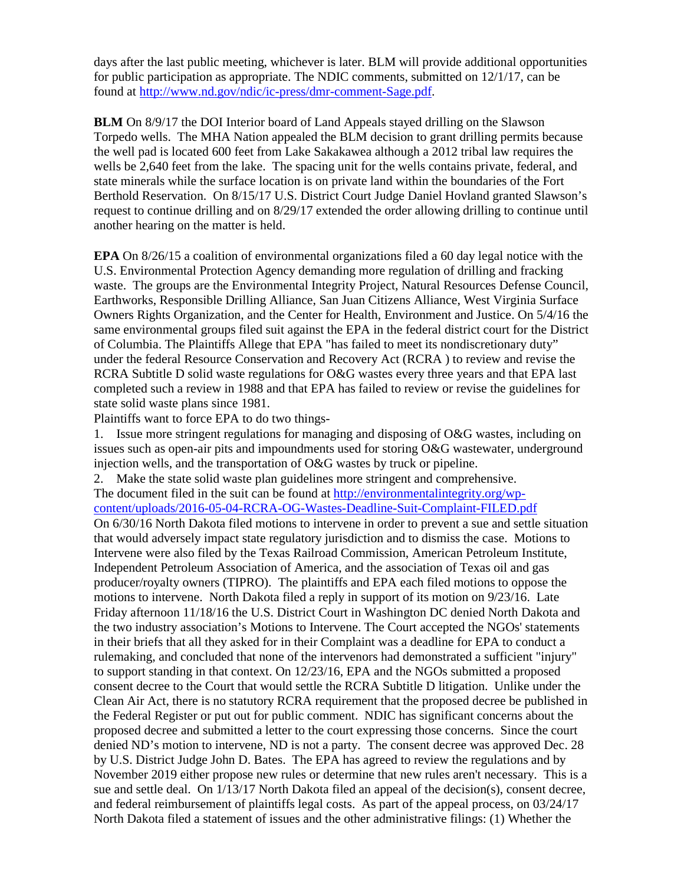days after the last public meeting, whichever is later. BLM will provide additional opportunities for public participation as appropriate. The NDIC comments, submitted on 12/1/17, can be found at [http://www.nd.gov/ndic/ic-press/dmr-comment-Sage.pdf.](http://www.nd.gov/ndic/ic-press/dmr-comment-Sage.pdf)

**BLM** On 8/9/17 the DOI Interior board of Land Appeals stayed drilling on the Slawson Torpedo wells. The MHA Nation appealed the BLM decision to grant drilling permits because the well pad is located 600 feet from Lake Sakakawea although a 2012 tribal law requires the wells be 2,640 feet from the lake. The spacing unit for the wells contains private, federal, and state minerals while the surface location is on private land within the boundaries of the Fort Berthold Reservation. On 8/15/17 U.S. District Court Judge Daniel Hovland granted Slawson's request to continue drilling and on 8/29/17 extended the order allowing drilling to continue until another hearing on the matter is held.

**EPA** On 8/26/15 a coalition of environmental organizations filed a 60 day legal notice with the U.S. Environmental Protection Agency demanding more regulation of drilling and fracking waste. The groups are the Environmental Integrity Project, Natural Resources Defense Council, Earthworks, Responsible Drilling Alliance, San Juan Citizens Alliance, West Virginia Surface Owners Rights Organization, and the Center for Health, Environment and Justice. On 5/4/16 the same environmental groups filed suit against the EPA in the federal district court for the District of Columbia. The Plaintiffs Allege that EPA "has failed to meet its nondiscretionary duty" under the federal Resource Conservation and Recovery Act (RCRA ) to review and revise the RCRA Subtitle D solid waste regulations for O&G wastes every three years and that EPA last completed such a review in 1988 and that EPA has failed to review or revise the guidelines for state solid waste plans since 1981.

Plaintiffs want to force EPA to do two things-

1. Issue more stringent regulations for managing and disposing of O&G wastes, including on issues such as open-air pits and impoundments used for storing O&G wastewater, underground injection wells, and the transportation of O&G wastes by truck or pipeline.

2. Make the state solid waste plan guidelines more stringent and comprehensive.

The document filed in the suit can be found at [http://environmentalintegrity.org/wp](http://environmentalintegrity.org/wp-content/uploads/2016-05-04-RCRA-OG-Wastes-Deadline-Suit-Complaint-FILED.pdf)[content/uploads/2016-05-04-RCRA-OG-Wastes-Deadline-Suit-Complaint-FILED.pdf](http://environmentalintegrity.org/wp-content/uploads/2016-05-04-RCRA-OG-Wastes-Deadline-Suit-Complaint-FILED.pdf)

On 6/30/16 North Dakota filed motions to intervene in order to prevent a sue and settle situation that would adversely impact state regulatory jurisdiction and to dismiss the case. Motions to Intervene were also filed by the Texas Railroad Commission, American Petroleum Institute, Independent Petroleum Association of America, and the association of Texas oil and gas producer/royalty owners (TIPRO). The plaintiffs and EPA each filed motions to oppose the motions to intervene. North Dakota filed a reply in support of its motion on 9/23/16. Late Friday afternoon 11/18/16 the U.S. District Court in Washington DC denied North Dakota and the two industry association's Motions to Intervene. The Court accepted the NGOs' statements in their briefs that all they asked for in their Complaint was a deadline for EPA to conduct a rulemaking, and concluded that none of the intervenors had demonstrated a sufficient "injury" to support standing in that context. On 12/23/16, EPA and the NGOs submitted a proposed consent decree to the Court that would settle the RCRA Subtitle D litigation. Unlike under the Clean Air Act, there is no statutory RCRA requirement that the proposed decree be published in the Federal Register or put out for public comment. NDIC has significant concerns about the proposed decree and submitted a letter to the court expressing those concerns. Since the court denied ND's motion to intervene, ND is not a party. The consent decree was approved Dec. 28 by U.S. District Judge John D. Bates. The EPA has agreed to review the regulations and by November 2019 either propose new rules or determine that new rules aren't necessary. This is a sue and settle deal. On 1/13/17 North Dakota filed an appeal of the decision(s), consent decree, and federal reimbursement of plaintiffs legal costs. As part of the appeal process, on 03/24/17 North Dakota filed a statement of issues and the other administrative filings: (1) Whether the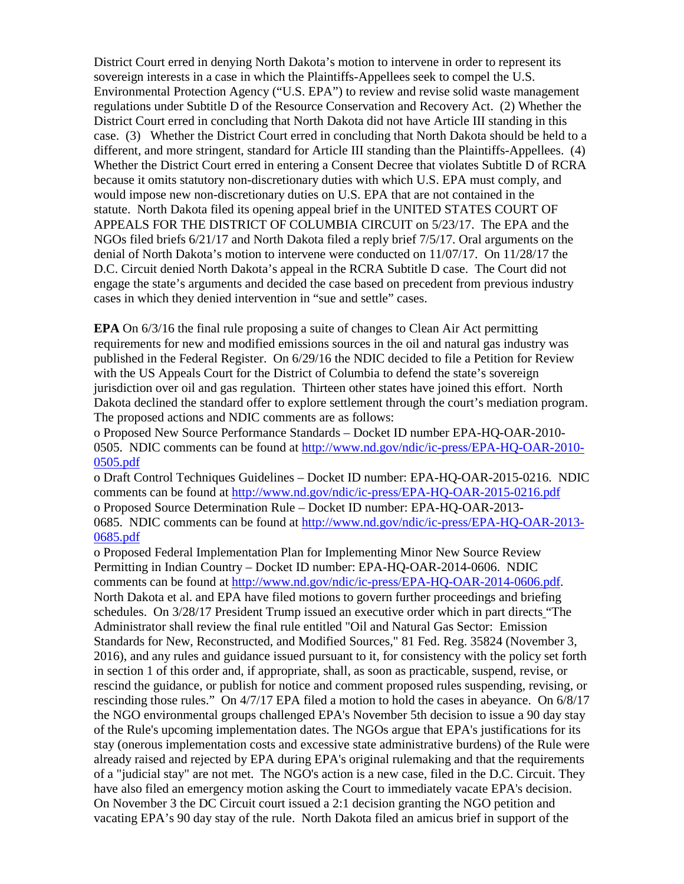District Court erred in denying North Dakota's motion to intervene in order to represent its sovereign interests in a case in which the Plaintiffs-Appellees seek to compel the U.S. Environmental Protection Agency ("U.S. EPA") to review and revise solid waste management regulations under Subtitle D of the Resource Conservation and Recovery Act. (2) Whether the District Court erred in concluding that North Dakota did not have Article III standing in this case. (3) Whether the District Court erred in concluding that North Dakota should be held to a different, and more stringent, standard for Article III standing than the Plaintiffs-Appellees. (4) Whether the District Court erred in entering a Consent Decree that violates Subtitle D of RCRA because it omits statutory non-discretionary duties with which U.S. EPA must comply, and would impose new non-discretionary duties on U.S. EPA that are not contained in the statute. North Dakota filed its opening appeal brief in the UNITED STATES COURT OF APPEALS FOR THE DISTRICT OF COLUMBIA CIRCUIT on 5/23/17. The EPA and the NGOs filed briefs 6/21/17 and North Dakota filed a reply brief 7/5/17. Oral arguments on the denial of North Dakota's motion to intervene were conducted on 11/07/17. On 11/28/17 the D.C. Circuit denied North Dakota's appeal in the RCRA Subtitle D case. The Court did not engage the state's arguments and decided the case based on precedent from previous industry cases in which they denied intervention in "sue and settle" cases.

**EPA** On 6/3/16 the final rule proposing a suite of changes to Clean Air Act permitting requirements for new and modified emissions sources in the oil and natural gas industry was published in the Federal Register. On 6/29/16 the NDIC decided to file a Petition for Review with the US Appeals Court for the District of Columbia to defend the state's sovereign jurisdiction over oil and gas regulation. Thirteen other states have joined this effort. North Dakota declined the standard offer to explore settlement through the court's mediation program. The proposed actions and NDIC comments are as follows:

o Proposed New Source Performance Standards – Docket ID number EPA-HQ-OAR-2010- 0505. NDIC comments can be found at [http://www.nd.gov/ndic/ic-press/EPA-HQ-OAR-2010-](http://www.nd.gov/ndic/ic-press/EPA-HQ-OAR-2010-0505.pdf) [0505.pdf](http://www.nd.gov/ndic/ic-press/EPA-HQ-OAR-2010-0505.pdf)

o Draft Control Techniques Guidelines – Docket ID number: EPA-HQ-OAR-2015-0216. NDIC comments can be found at<http://www.nd.gov/ndic/ic-press/EPA-HQ-OAR-2015-0216.pdf> o Proposed Source Determination Rule – Docket ID number: EPA-HQ-OAR-2013- 0685. NDIC comments can be found at [http://www.nd.gov/ndic/ic-press/EPA-HQ-OAR-2013-](http://www.nd.gov/ndic/ic-press/EPA-HQ-OAR-2013-0685.pdf) [0685.pdf](http://www.nd.gov/ndic/ic-press/EPA-HQ-OAR-2013-0685.pdf)

o Proposed Federal Implementation Plan for Implementing Minor New Source Review Permitting in Indian Country – Docket ID number: EPA-HQ-OAR-2014-0606. NDIC comments can be found at [http://www.nd.gov/ndic/ic-press/EPA-HQ-OAR-2014-0606.pdf.](http://www.nd.gov/ndic/ic-press/EPA-HQ-OAR-2014-0606.pdf) North Dakota et al. and EPA have filed motions to govern further proceedings and briefing schedules. On 3/28/17 President Trump issued an executive order which in part directs "The Administrator shall review the final rule entitled "Oil and Natural Gas Sector: Emission Standards for New, Reconstructed, and Modified Sources," 81 Fed. Reg. 35824 (November 3, 2016), and any rules and guidance issued pursuant to it, for consistency with the policy set forth in section 1 of this order and, if appropriate, shall, as soon as practicable, suspend, revise, or rescind the guidance, or publish for notice and comment proposed rules suspending, revising, or rescinding those rules." On 4/7/17 EPA filed a motion to hold the cases in abeyance. On 6/8/17 the NGO environmental groups challenged EPA's November 5th decision to issue a 90 day stay of the Rule's upcoming implementation dates. The NGOs argue that EPA's justifications for its stay (onerous implementation costs and excessive state administrative burdens) of the Rule were already raised and rejected by EPA during EPA's original rulemaking and that the requirements of a "judicial stay" are not met. The NGO's action is a new case, filed in the D.C. Circuit. They have also filed an emergency motion asking the Court to immediately vacate EPA's decision. On November 3 the DC Circuit court issued a 2:1 decision granting the NGO petition and vacating EPA's 90 day stay of the rule. North Dakota filed an amicus brief in support of the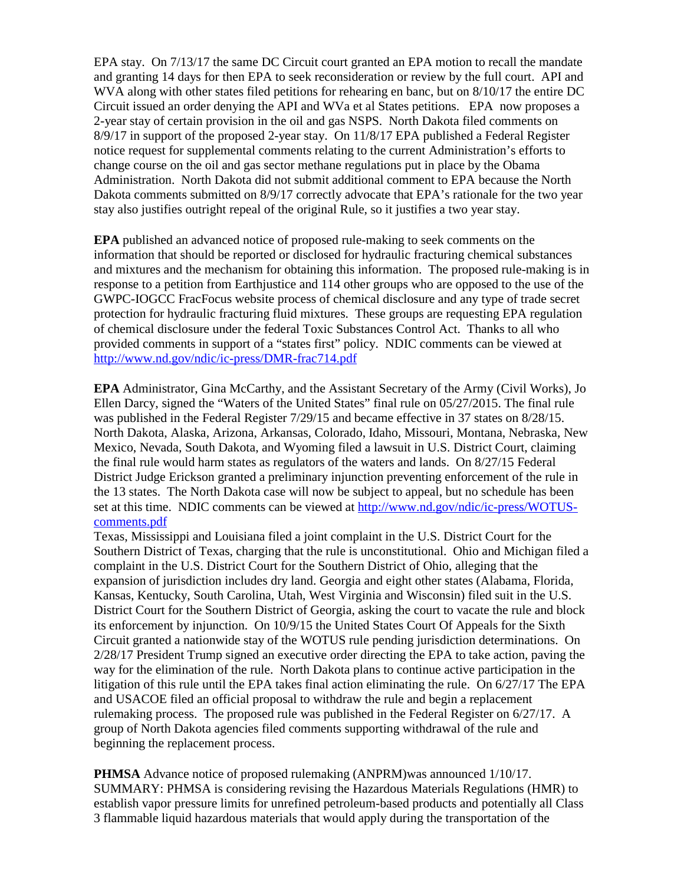EPA stay. On 7/13/17 the same DC Circuit court granted an EPA motion to recall the mandate and granting 14 days for then EPA to seek reconsideration or review by the full court. API and WVA along with other states filed petitions for rehearing en banc, but on 8/10/17 the entire DC Circuit issued an order denying the API and WVa et al States petitions. EPA now proposes a 2-year stay of certain provision in the oil and gas NSPS. North Dakota filed comments on 8/9/17 in support of the proposed 2-year stay. On 11/8/17 EPA published a Federal Register notice request for supplemental comments relating to the current Administration's efforts to change course on the oil and gas sector methane regulations put in place by the Obama Administration. North Dakota did not submit additional comment to EPA because the North Dakota comments submitted on 8/9/17 correctly advocate that EPA's rationale for the two year stay also justifies outright repeal of the original Rule, so it justifies a two year stay.

**EPA** published an advanced notice of proposed rule-making to seek comments on the information that should be reported or disclosed for hydraulic fracturing chemical substances and mixtures and the mechanism for obtaining this information. The proposed rule-making is in response to a petition from Earthjustice and 114 other groups who are opposed to the use of the GWPC-IOGCC FracFocus website process of chemical disclosure and any type of trade secret protection for hydraulic fracturing fluid mixtures. These groups are requesting EPA regulation of chemical disclosure under the federal Toxic Substances Control Act. Thanks to all who provided comments in support of a "states first" policy. NDIC comments can be viewed at <http://www.nd.gov/ndic/ic-press/DMR-frac714.pdf>

**EPA** Administrator, Gina McCarthy, and the Assistant Secretary of the Army (Civil Works), Jo Ellen Darcy, signed the "Waters of the United States" final rule on 05/27/2015. The final rule was published in the Federal Register 7/29/15 and became effective in 37 states on 8/28/15. North Dakota, Alaska, Arizona, Arkansas, Colorado, Idaho, Missouri, Montana, Nebraska, New Mexico, Nevada, South Dakota, and Wyoming filed a lawsuit in U.S. District Court, claiming the final rule would harm states as regulators of the waters and lands. On 8/27/15 Federal District Judge Erickson granted a preliminary injunction preventing enforcement of the rule in the 13 states. The North Dakota case will now be subject to appeal, but no schedule has been set at this time. NDIC comments can be viewed at [http://www.nd.gov/ndic/ic-press/WOTUS](http://www.nd.gov/ndic/ic-press/WOTUS-comments.pdf)[comments.pdf](http://www.nd.gov/ndic/ic-press/WOTUS-comments.pdf)

Texas, Mississippi and Louisiana filed a joint complaint in the U.S. District Court for the Southern District of Texas, charging that the rule is unconstitutional. Ohio and Michigan filed a complaint in the U.S. District Court for the Southern District of Ohio, alleging that the expansion of jurisdiction includes dry land. Georgia and eight other states (Alabama, Florida, Kansas, Kentucky, South Carolina, Utah, West Virginia and Wisconsin) filed suit in the U.S. District Court for the Southern District of Georgia, asking the court to vacate the rule and block its enforcement by injunction. On 10/9/15 the United States Court Of Appeals for the Sixth Circuit granted a nationwide stay of the WOTUS rule pending jurisdiction determinations. On 2/28/17 President Trump signed an executive order directing the EPA to take action, paving the way for the elimination of the rule. North Dakota plans to continue active participation in the litigation of this rule until the EPA takes final action eliminating the rule. On 6/27/17 The EPA and USACOE filed an official proposal to withdraw the rule and begin a replacement rulemaking process. The proposed rule was published in the Federal Register on 6/27/17. A group of North Dakota agencies filed comments supporting withdrawal of the rule and beginning the replacement process.

**PHMSA** Advance notice of proposed rulemaking (ANPRM)was announced 1/10/17. SUMMARY: PHMSA is considering revising the Hazardous Materials Regulations (HMR) to establish vapor pressure limits for unrefined petroleum-based products and potentially all Class 3 flammable liquid hazardous materials that would apply during the transportation of the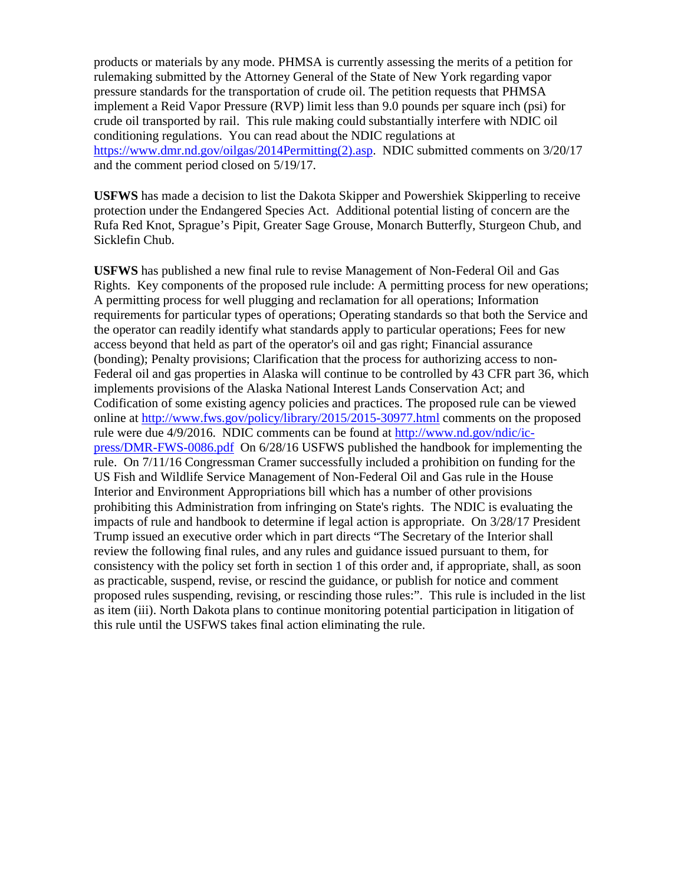products or materials by any mode. PHMSA is currently assessing the merits of a petition for rulemaking submitted by the Attorney General of the State of New York regarding vapor pressure standards for the transportation of crude oil. The petition requests that PHMSA implement a Reid Vapor Pressure (RVP) limit less than 9.0 pounds per square inch (psi) for crude oil transported by rail. This rule making could substantially interfere with NDIC oil conditioning regulations. You can read about the NDIC regulations at [https://www.dmr.nd.gov/oilgas/2014Permitting\(2\).asp.](https://www.dmr.nd.gov/oilgas/2014Permitting(2).asp) NDIC submitted comments on 3/20/17 and the comment period closed on 5/19/17.

**USFWS** has made a decision to list the Dakota Skipper and Powershiek Skipperling to receive protection under the Endangered Species Act. Additional potential listing of concern are the Rufa Red Knot, Sprague's Pipit, Greater Sage Grouse, Monarch Butterfly, Sturgeon Chub, and Sicklefin Chub.

**USFWS** has published a new final rule to revise Management of Non-Federal Oil and Gas Rights. Key components of the proposed rule include: A permitting process for new operations; A permitting process for well plugging and reclamation for all operations; Information requirements for particular types of operations; Operating standards so that both the Service and the operator can readily identify what standards apply to particular operations; Fees for new access beyond that held as part of the operator's oil and gas right; Financial assurance (bonding); Penalty provisions; Clarification that the process for authorizing access to non-Federal oil and gas properties in Alaska will continue to be controlled by 43 CFR part 36, which implements provisions of the Alaska National Interest Lands Conservation Act; and Codification of some existing agency policies and practices. The proposed rule can be viewed online at<http://www.fws.gov/policy/library/2015/2015-30977.html> comments on the proposed rule were due 4/9/2016. NDIC comments can be found at [http://www.nd.gov/ndic/ic](http://www.nd.gov/ndic/ic-press/DMR-FWS-0086.pdf)[press/DMR-FWS-0086.pdf](http://www.nd.gov/ndic/ic-press/DMR-FWS-0086.pdf) On 6/28/16 USFWS published the handbook for implementing the rule. On 7/11/16 Congressman Cramer successfully included a prohibition on funding for the US Fish and Wildlife Service Management of Non-Federal Oil and Gas rule in the House Interior and Environment Appropriations bill which has a number of other provisions prohibiting this Administration from infringing on State's rights. The NDIC is evaluating the impacts of rule and handbook to determine if legal action is appropriate. On 3/28/17 President Trump issued an executive order which in part directs "The Secretary of the Interior shall review the following final rules, and any rules and guidance issued pursuant to them, for consistency with the policy set forth in section 1 of this order and, if appropriate, shall, as soon as practicable, suspend, revise, or rescind the guidance, or publish for notice and comment proposed rules suspending, revising, or rescinding those rules:". This rule is included in the list as item (iii). North Dakota plans to continue monitoring potential participation in litigation of this rule until the USFWS takes final action eliminating the rule.